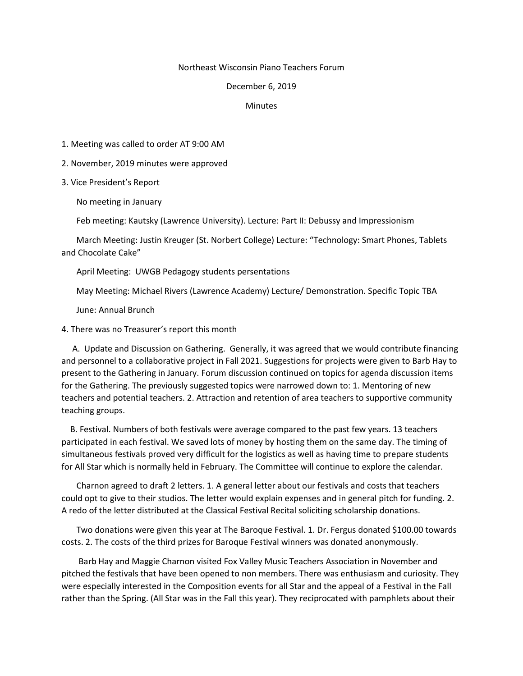## Northeast Wisconsin Piano Teachers Forum

## December 6, 2019

## **Minutes**

1. Meeting was called to order AT 9:00 AM

2. November, 2019 minutes were approved

3. Vice President's Report

No meeting in January

Feb meeting: Kautsky (Lawrence University). Lecture: Part II: Debussy and Impressionism

 March Meeting: Justin Kreuger (St. Norbert College) Lecture: "Technology: Smart Phones, Tablets and Chocolate Cake"

April Meeting: UWGB Pedagogy students persentations

May Meeting: Michael Rivers (Lawrence Academy) Lecture/ Demonstration. Specific Topic TBA

June: Annual Brunch

4. There was no Treasurer's report this month

 A. Update and Discussion on Gathering. Generally, it was agreed that we would contribute financing and personnel to a collaborative project in Fall 2021. Suggestions for projects were given to Barb Hay to present to the Gathering in January. Forum discussion continued on topics for agenda discussion items for the Gathering. The previously suggested topics were narrowed down to: 1. Mentoring of new teachers and potential teachers. 2. Attraction and retention of area teachers to supportive community teaching groups.

 B. Festival. Numbers of both festivals were average compared to the past few years. 13 teachers participated in each festival. We saved lots of money by hosting them on the same day. The timing of simultaneous festivals proved very difficult for the logistics as well as having time to prepare students for All Star which is normally held in February. The Committee will continue to explore the calendar.

 Charnon agreed to draft 2 letters. 1. A general letter about our festivals and costs that teachers could opt to give to their studios. The letter would explain expenses and in general pitch for funding. 2. A redo of the letter distributed at the Classical Festival Recital soliciting scholarship donations.

 Two donations were given this year at The Baroque Festival. 1. Dr. Fergus donated \$100.00 towards costs. 2. The costs of the third prizes for Baroque Festival winners was donated anonymously.

 Barb Hay and Maggie Charnon visited Fox Valley Music Teachers Association in November and pitched the festivals that have been opened to non members. There was enthusiasm and curiosity. They were especially interested in the Composition events for all Star and the appeal of a Festival in the Fall rather than the Spring. (All Star was in the Fall this year). They reciprocated with pamphlets about their